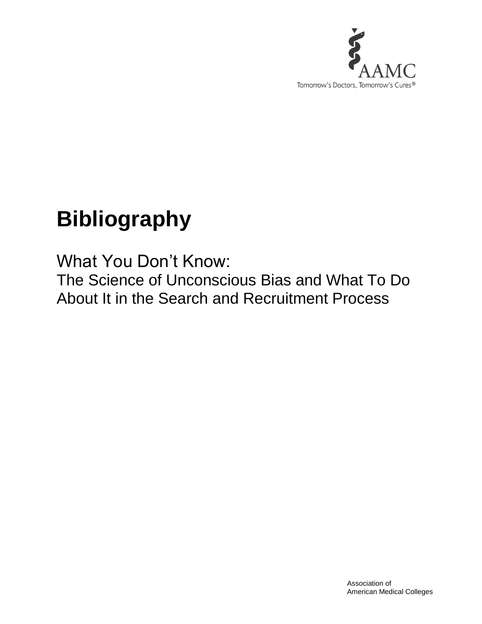

# **Bibliography**

What You Don't Know:

The Science of Unconscious Bias and What To Do About It in the Search and Recruitment Process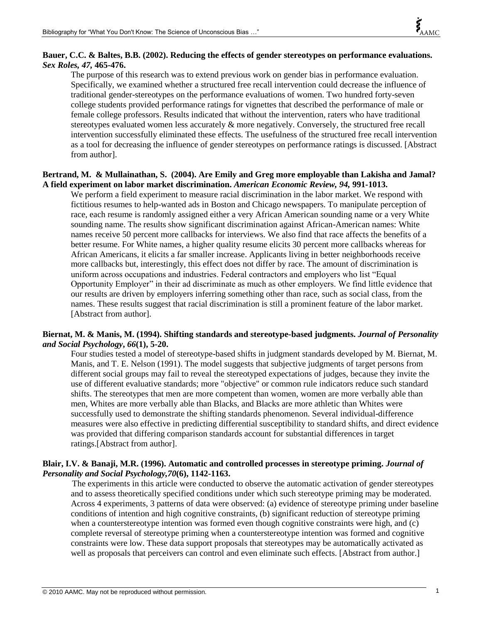# **Bauer, C.C. & Baltes, B.B. (2002). Reducing the effects of gender stereotypes on performance evaluations.**  *Sex Roles, 47,* **465-476.**

The purpose of this research was to extend previous work on gender bias in performance evaluation. Specifically, we examined whether a structured free recall intervention could decrease the influence of traditional gender-stereotypes on the performance evaluations of women. Two hundred forty-seven college students provided performance ratings for vignettes that described the performance of male or female college professors. Results indicated that without the intervention, raters who have traditional stereotypes evaluated women less accurately & more negatively. Conversely, the structured free recall intervention successfully eliminated these effects. The usefulness of the structured free recall intervention as a tool for decreasing the influence of gender stereotypes on performance ratings is discussed. [Abstract from author].

#### **Bertrand, M. & Mullainathan, S. (2004). Are Emily and Greg more employable than Lakisha and Jamal? A field experiment on labor market discrimination.** *American Economic Review, 94,* **991-1013.**

We perform a field experiment to measure racial discrimination in the labor market. We respond with fictitious resumes to help-wanted ads in Boston and Chicago newspapers. To manipulate perception of race, each resume is randomly assigned either a very African American sounding name or a very White sounding name. The results show significant discrimination against African-American names: White names receive 50 percent more callbacks for interviews. We also find that race affects the benefits of a better resume. For White names, a higher quality resume elicits 30 percent more callbacks whereas for African Americans, it elicits a far smaller increase. Applicants living in better neighborhoods receive more callbacks but, interestingly, this effect does not differ by race. The amount of discrimination is uniform across occupations and industries. Federal contractors and employers who list "Equal Opportunity Employer" in their ad discriminate as much as other employers. We find little evidence that our results are driven by employers inferring something other than race, such as social class, from the names. These results suggest that racial discrimination is still a prominent feature of the labor market. [Abstract from author].

# **Biernat, M. & Manis, M. (1994). Shifting standards and stereotype-based judgments.** *Journal of Personality and Social Psychology***,** *66***(1), 5-20.**

Four studies tested a model of stereotype-based shifts in judgment standards developed by M. Biernat, M. Manis, and T. E. Nelson (1991). The model suggests that subjective judgments of target persons from different social groups may fail to reveal the stereotyped expectations of judges, because they invite the use of different evaluative standards; more "objective" or common rule indicators reduce such standard shifts. The stereotypes that men are more competent than women, women are more verbally able than men, Whites are more verbally able than Blacks, and Blacks are more athletic than Whites were successfully used to demonstrate the shifting standards phenomenon. Several individual-difference measures were also effective in predicting differential susceptibility to standard shifts, and direct evidence was provided that differing comparison standards account for substantial differences in target ratings.[Abstract from author].

#### **Blair, I.V. & Banaji, M.R. (1996). Automatic and controlled processes in stereotype priming.** *Journal of Personality and Social Psychology,70***(6), 1142-1163.**

The experiments in this article were conducted to observe the automatic activation of gender stereotypes and to assess theoretically specified conditions under which such stereotype priming may be moderated. Across 4 experiments, 3 patterns of data were observed: (a) evidence of stereotype priming under baseline conditions of intention and high cognitive constraints, (b) significant reduction of stereotype priming when a counterstereotype intention was formed even though cognitive constraints were high, and (c) complete reversal of stereotype priming when a counterstereotype intention was formed and cognitive constraints were low. These data support proposals that stereotypes may be automatically activated as well as proposals that perceivers can control and even eliminate such effects. [Abstract from author.]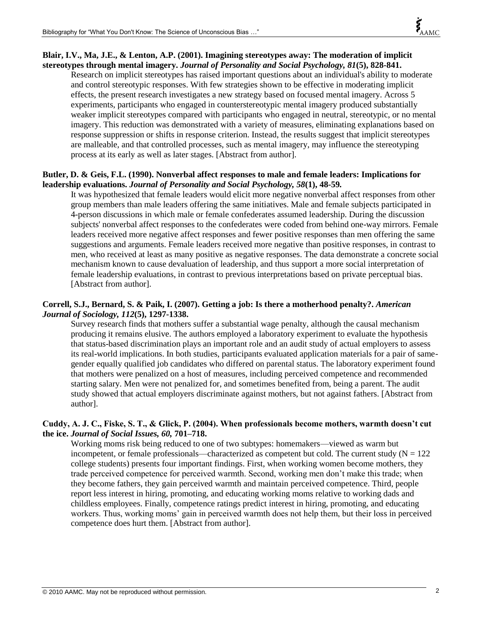# **Blair, I.V., Ma, J.E., & Lenton, A.P. (2001). Imagining stereotypes away: The moderation of implicit stereotypes through mental imagery.** *Journal of Personality and Social Psychology, 81***(5), 828-841.**

Research on implicit stereotypes has raised important questions about an individual's ability to moderate and control stereotypic responses. With few strategies shown to be effective in moderating implicit effects, the present research investigates a new strategy based on focused mental imagery. Across 5 experiments, participants who engaged in counterstereotypic mental imagery produced substantially weaker implicit stereotypes compared with participants who engaged in neutral, stereotypic, or no mental imagery. This reduction was demonstrated with a variety of measures, eliminating explanations based on response suppression or shifts in response criterion. Instead, the results suggest that implicit stereotypes are malleable, and that controlled processes, such as mental imagery, may influence the stereotyping process at its early as well as later stages. [Abstract from author].

### **Butler, D. & Geis, F.L. (1990). Nonverbal affect responses to male and female leaders: Implications for leadership evaluations.** *Journal of Personality and Social Psychology, 58***(1), 48-59***.*

It was hypothesized that female leaders would elicit more negative nonverbal affect responses from other group members than male leaders offering the same initiatives. Male and female subjects participated in 4-person discussions in which male or female confederates assumed leadership. During the discussion subjects' nonverbal affect responses to the confederates were coded from behind one-way mirrors. Female leaders received more negative affect responses and fewer positive responses than men offering the same suggestions and arguments. Female leaders received more negative than positive responses, in contrast to men, who received at least as many positive as negative responses. The data demonstrate a concrete social mechanism known to cause devaluation of leadership, and thus support a more social interpretation of female leadership evaluations, in contrast to previous interpretations based on private perceptual bias. [Abstract from author].

#### Correll, S.J., Bernard, S. & Paik, I. (2007). Getting a job: Is there a motherhood penalty?. *American Journal of Sociology, 112***(5), 1297-1338.**

Survey research finds that mothers suffer a substantial wage penalty, although the causal mechanism producing it remains elusive. The authors employed a laboratory experiment to evaluate the hypothesis that status-based discrimination plays an important role and an audit study of actual employers to assess its real-world implications. In both studies, participants evaluated application materials for a pair of samegender equally qualified job candidates who differed on parental status. The laboratory experiment found that mothers were penalized on a host of measures, including perceived competence and recommended starting salary. Men were not penalized for, and sometimes benefited from, being a parent. The audit study showed that actual employers discriminate against mothers, but not against fathers. [Abstract from author].

#### **Cuddy, A. J. C., Fiske, S. T., & Glick, P. (2004). When professionals become mothers, warmth doesn't cut the ice.** *Journal of Social Issues, 60,* **701–718.**

Working moms risk being reduced to one of two subtypes: homemakers—viewed as warm but incompetent, or female professionals—characterized as competent but cold. The current study ( $N = 122$ ) college students) presents four important findings. First, when working women become mothers, they trade perceived competence for perceived warmth. Second, working men don't make this trade; when they become fathers, they gain perceived warmth and maintain perceived competence. Third, people report less interest in hiring, promoting, and educating working moms relative to working dads and childless employees. Finally, competence ratings predict interest in hiring, promoting, and educating workers. Thus, working moms' gain in perceived warmth does not help them, but their loss in perceived competence does hurt them. [Abstract from author].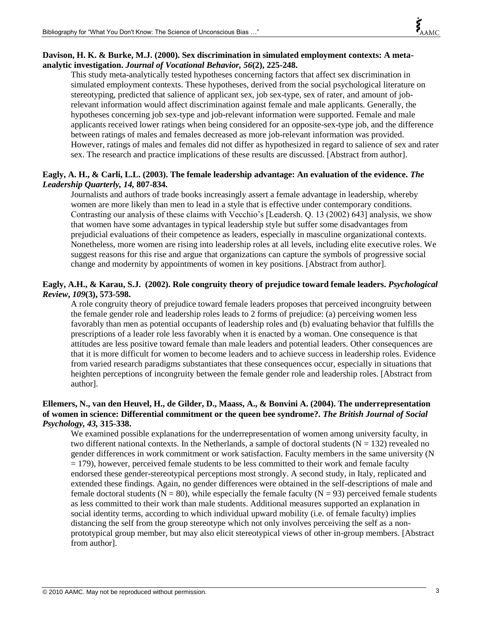# **Davison, H. K. & Burke, M.J. (2000). Sex discrimination in simulated employment contexts: A metaanalytic investigation.** *Journal of Vocational Behavior, 56***(2), 225-248.**

This study meta-analytically tested hypotheses concerning factors that affect sex discrimination in simulated employment contexts. These hypotheses, derived from the social psychological literature on stereotyping, predicted that salience of applicant sex, job sex-type, sex of rater, and amount of jobrelevant information would affect discrimination against female and male applicants. Generally, the hypotheses concerning job sex-type and job-relevant information were supported. Female and male applicants received lower ratings when being considered for an opposite-sex-type job, and the difference between ratings of males and females decreased as more job-relevant information was provided. However, ratings of males and females did not differ as hypothesized in regard to salience of sex and rater sex. The research and practice implications of these results are discussed. [Abstract from author].

### **Eagly, A. H., & Carli, L.L. (2003). The female leadership advantage: An evaluation of the evidence.** *The Leadership Quarterly, 14,* **807-834.**

Journalists and authors of trade books increasingly assert a female advantage in leadership, whereby women are more likely than men to lead in a style that is effective under contemporary conditions. Contrasting our analysis of these claims with Vecchio's [Leadersh. Q. 13 (2002) 643] analysis, we show that women have some advantages in typical leadership style but suffer some disadvantages from prejudicial evaluations of their competence as leaders, especially in masculine organizational contexts. Nonetheless, more women are rising into leadership roles at all levels, including elite executive roles. We suggest reasons for this rise and argue that organizations can capture the symbols of progressive social change and modernity by appointments of women in key positions. [Abstract from author].

# **Eagly, A.H., & Karau, S.J. (2002). Role congruity theory of prejudice toward female leaders.** *Psychological Review***,** *109***(3), 573-598.**

A role congruity theory of prejudice toward female leaders proposes that perceived incongruity between the female gender role and leadership roles leads to 2 forms of prejudice: (a) perceiving women less favorably than men as potential occupants of leadership roles and (b) evaluating behavior that fulfills the prescriptions of a leader role less favorably when it is enacted by a woman. One consequence is that attitudes are less positive toward female than male leaders and potential leaders. Other consequences are that it is more difficult for women to become leaders and to achieve success in leadership roles. Evidence from varied research paradigms substantiates that these consequences occur, especially in situations that heighten perceptions of incongruity between the female gender role and leadership roles. [Abstract from author].

# **Ellemers, N., van den Heuvel, H., de Gilder, D., Maass, A., & Bonvini A. (2004). The underrepresentation of women in science: Differential commitment or the queen bee syndrome?.** *The British Journal of Social Psychology, 43,* **315-338.**

We examined possible explanations for the underrepresentation of women among university faculty, in two different national contexts. In the Netherlands, a sample of doctoral students  $(N = 132)$  revealed no gender differences in work commitment or work satisfaction. Faculty members in the same university (N = 179), however, perceived female students to be less committed to their work and female faculty endorsed these gender-stereotypical perceptions most strongly. A second study, in Italy, replicated and extended these findings. Again, no gender differences were obtained in the self-descriptions of male and female doctoral students ( $N = 80$ ), while especially the female faculty ( $N = 93$ ) perceived female students as less committed to their work than male students. Additional measures supported an explanation in social identity terms, according to which individual upward mobility (i.e. of female faculty) implies distancing the self from the group stereotype which not only involves perceiving the self as a nonprototypical group member, but may also elicit stereotypical views of other in-group members. [Abstract from author].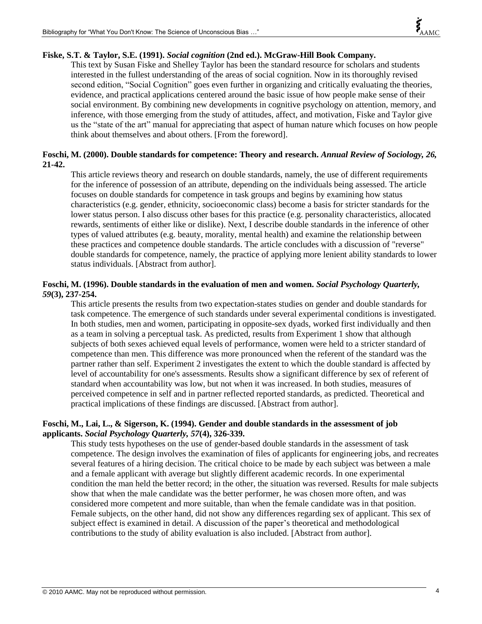#### **Fiske, S.T. & Taylor, S.E. (1991).** *Social cognition* **(2nd ed.). McGraw-Hill Book Company.**

This text by Susan Fiske and Shelley Taylor has been the standard resource for scholars and students interested in the fullest understanding of the areas of social cognition. Now in its thoroughly revised second edition, "Social Cognition" goes even further in organizing and critically evaluating the theories, evidence, and practical applications centered around the basic issue of how people make sense of their social environment. By combining new developments in cognitive psychology on attention, memory, and inference, with those emerging from the study of attitudes, affect, and motivation, Fiske and Taylor give us the "state of the art" manual for appreciating that aspect of human nature which focuses on how people think about themselves and about others. [From the foreword].

# **Foschi, M. (2000). Double standards for competence: Theory and research.** *Annual Review of Sociology, 26,*  **21-42.**

This article reviews theory and research on double standards, namely, the use of different requirements for the inference of possession of an attribute, depending on the individuals being assessed. The article focuses on double standards for competence in task groups and begins by examining how status characteristics (e.g. gender, ethnicity, socioeconomic class) become a basis for stricter standards for the lower status person. I also discuss other bases for this practice (e.g. personality characteristics, allocated rewards, sentiments of either like or dislike). Next, I describe double standards in the inference of other types of valued attributes (e.g. beauty, morality, mental health) and examine the relationship between these practices and competence double standards. The article concludes with a discussion of "reverse" double standards for competence, namely, the practice of applying more lenient ability standards to lower status individuals. [Abstract from author].

#### **Foschi, M. (1996). Double standards in the evaluation of men and women.** *Social Psychology Quarterly, 59***(3), 237-254.**

This article presents the results from two expectation-states studies on gender and double standards for task competence. The emergence of such standards under several experimental conditions is investigated. In both studies, men and women, participating in opposite-sex dyads, worked first individually and then as a team in solving a perceptual task. As predicted, results from Experiment 1 show that although subjects of both sexes achieved equal levels of performance, women were held to a stricter standard of competence than men. This difference was more pronounced when the referent of the standard was the partner rather than self. Experiment 2 investigates the extent to which the double standard is affected by level of accountability for one's assessments. Results show a significant difference by sex of referent of standard when accountability was low, but not when it was increased. In both studies, measures of perceived competence in self and in partner reflected reported standards, as predicted. Theoretical and practical implications of these findings are discussed. [Abstract from author].

#### **Foschi, M., Lai, L., & Sigerson, K. (1994). Gender and double standards in the assessment of job applicants.** *Social Psychology Quarterly, 57***(4), 326-339.**

This study tests hypotheses on the use of gender-based double standards in the assessment of task competence. The design involves the examination of files of applicants for engineering jobs, and recreates several features of a hiring decision. The critical choice to be made by each subject was between a male and a female applicant with average but slightly different academic records. In one experimental condition the man held the better record; in the other, the situation was reversed. Results for male subjects show that when the male candidate was the better performer, he was chosen more often, and was considered more competent and more suitable, than when the female candidate was in that position. Female subjects, on the other hand, did not show any differences regarding sex of applicant. This sex of subject effect is examined in detail. A discussion of the paper's theoretical and methodological contributions to the study of ability evaluation is also included. [Abstract from author].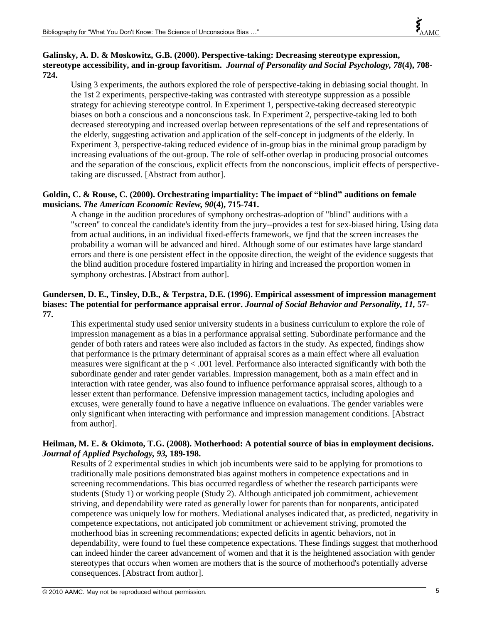#### **Galinsky, A. D. & Moskowitz, G.B. (2000). Perspective-taking: Decreasing stereotype expression, stereotype accessibility, and in-group favoritism.** *Journal of Personality and Social Psychology, 78***(4), 708- 724.**

Using 3 experiments, the authors explored the role of perspective-taking in debiasing social thought. In the 1st 2 experiments, perspective-taking was contrasted with stereotype suppression as a possible strategy for achieving stereotype control. In Experiment 1, perspective-taking decreased stereotypic biases on both a conscious and a nonconscious task. In Experiment 2, perspective-taking led to both decreased stereotyping and increased overlap between representations of the self and representations of the elderly, suggesting activation and application of the self-concept in judgments of the elderly. In Experiment 3, perspective-taking reduced evidence of in-group bias in the minimal group paradigm by increasing evaluations of the out-group. The role of self-other overlap in producing prosocial outcomes and the separation of the conscious, explicit effects from the nonconscious, implicit effects of perspectivetaking are discussed. [Abstract from author].

# **Goldin, C. & Rouse, C. (2000). Orchestrating impartiality: The impact of "blind" auditions on female musicians.** *The American Economic Review, 90***(4), 715-741.**

A change in the audition procedures of symphony orchestras-adoption of "blind" auditions with a "screen" to conceal the candidate's identity from the jury--provides a test for sex-biased hiring. Using data from actual auditions, in an individual fixed-effects framework, we fjnd that the screen increases the probability a woman will be advanced and hired. Although some of our estimates have large standard errors and there is one persistent effect in the opposite direction, the weight of the evidence suggests that the blind audition procedure fostered impartiality in hiring and increased the proportion women in symphony orchestras. [Abstract from author].

#### **Gundersen, D. E., Tinsley, D.B., & Terpstra, D.E. (1996). Empirical assessment of impression management biases: The potential for performance appraisal error.** *Journal of Social Behavior and Personality, 11,* **57- 77.**

This experimental study used senior university students in a business curriculum to explore the role of impression management as a bias in a performance appraisal setting. Subordinate performance and the gender of both raters and ratees were also included as factors in the study. As expected, findings show that performance is the primary determinant of appraisal scores as a main effect where all evaluation measures were significant at the  $p < .001$  level. Performance also interacted significantly with both the subordinate gender and rater gender variables. Impression management, both as a main effect and in interaction with ratee gender, was also found to influence performance appraisal scores, although to a lesser extent than performance. Defensive impression management tactics, including apologies and excuses, were generally found to have a negative influence on evaluations. The gender variables were only significant when interacting with performance and impression management conditions. [Abstract from author].

#### **Heilman, M. E. & Okimoto, T.G. (2008). Motherhood: A potential source of bias in employment decisions.**  *Journal of Applied Psychology, 93,* **189-198.**

Results of 2 experimental studies in which job incumbents were said to be applying for promotions to traditionally male positions demonstrated bias against mothers in competence expectations and in screening recommendations. This bias occurred regardless of whether the research participants were students (Study 1) or working people (Study 2). Although anticipated job commitment, achievement striving, and dependability were rated as generally lower for parents than for nonparents, anticipated competence was uniquely low for mothers. Mediational analyses indicated that, as predicted, negativity in competence expectations, not anticipated job commitment or achievement striving, promoted the motherhood bias in screening recommendations; expected deficits in agentic behaviors, not in dependability, were found to fuel these competence expectations. These findings suggest that motherhood can indeed hinder the career advancement of women and that it is the heightened association with gender stereotypes that occurs when women are mothers that is the source of motherhood's potentially adverse consequences. [Abstract from author].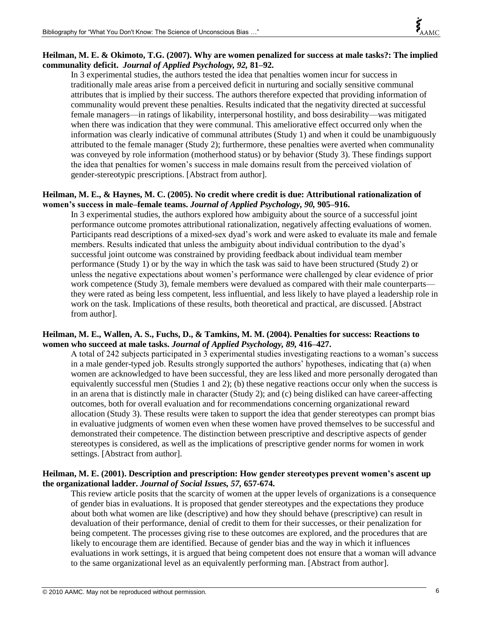# **Heilman, M. E. & Okimoto, T.G. (2007). Why are women penalized for success at male tasks?: The implied communality deficit.** *Journal of Applied Psychology, 92,* **81–92.**

In 3 experimental studies, the authors tested the idea that penalties women incur for success in traditionally male areas arise from a perceived deficit in nurturing and socially sensitive communal attributes that is implied by their success. The authors therefore expected that providing information of communality would prevent these penalties. Results indicated that the negativity directed at successful female managers—in ratings of likability, interpersonal hostility, and boss desirability—was mitigated when there was indication that they were communal. This ameliorative effect occurred only when the information was clearly indicative of communal attributes (Study 1) and when it could be unambiguously attributed to the female manager (Study 2); furthermore, these penalties were averted when communality was conveyed by role information (motherhood status) or by behavior (Study 3). These findings support the idea that penalties for women's success in male domains result from the perceived violation of gender-stereotypic prescriptions. [Abstract from author].

## **Heilman, M. E., & Haynes, M. C. (2005). No credit where credit is due: Attributional rationalization of women's success in male–female teams.** *Journal of Applied Psychology, 90,* **905–916.**

In 3 experimental studies, the authors explored how ambiguity about the source of a successful joint performance outcome promotes attributional rationalization, negatively affecting evaluations of women. Participants read descriptions of a mixed-sex dyad's work and were asked to evaluate its male and female members. Results indicated that unless the ambiguity about individual contribution to the dyad's successful joint outcome was constrained by providing feedback about individual team member performance (Study 1) or by the way in which the task was said to have been structured (Study 2) or unless the negative expectations about women's performance were challenged by clear evidence of prior work competence (Study 3), female members were devalued as compared with their male counterparts they were rated as being less competent, less influential, and less likely to have played a leadership role in work on the task. Implications of these results, both theoretical and practical, are discussed. [Abstract from author].

#### **Heilman, M. E., Wallen, A. S., Fuchs, D., & Tamkins, M. M. (2004). Penalties for success: Reactions to women who succeed at male tasks.** *Journal of Applied Psychology, 89,* **416–427.**

A total of 242 subjects participated in 3 experimental studies investigating reactions to a woman's success in a male gender-typed job. Results strongly supported the authors' hypotheses, indicating that (a) when women are acknowledged to have been successful, they are less liked and more personally derogated than equivalently successful men (Studies 1 and 2); (b) these negative reactions occur only when the success is in an arena that is distinctly male in character (Study 2); and (c) being disliked can have career-affecting outcomes, both for overall evaluation and for recommendations concerning organizational reward allocation (Study 3). These results were taken to support the idea that gender stereotypes can prompt bias in evaluative judgments of women even when these women have proved themselves to be successful and demonstrated their competence. The distinction between prescriptive and descriptive aspects of gender stereotypes is considered, as well as the implications of prescriptive gender norms for women in work settings. [Abstract from author].

### **Heilman, M. E. (2001). Description and prescription: How gender stereotypes prevent women's ascent up the organizational ladder.** *Journal of Social Issues, 57,* **657-674.**

This review article posits that the scarcity of women at the upper levels of organizations is a consequence of gender bias in evaluations. It is proposed that gender stereotypes and the expectations they produce about both what women are like (descriptive) and how they should behave (prescriptive) can result in devaluation of their performance, denial of credit to them for their successes, or their penalization for being competent. The processes giving rise to these outcomes are explored, and the procedures that are likely to encourage them are identified. Because of gender bias and the way in which it influences evaluations in work settings, it is argued that being competent does not ensure that a woman will advance to the same organizational level as an equivalently performing man. [Abstract from author].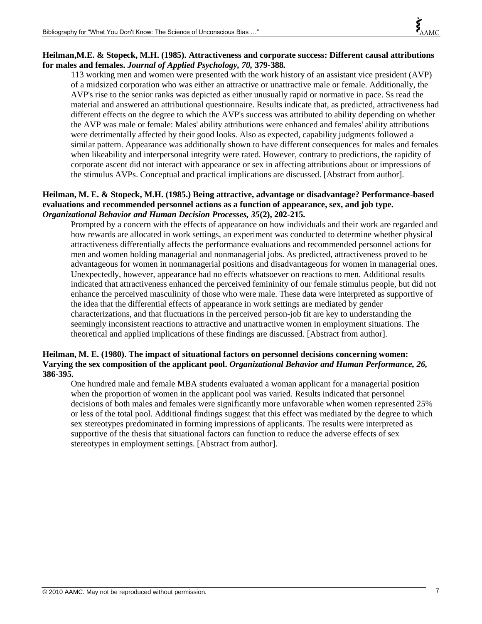## **Heilman,M.E. & Stopeck, M.H. (1985). Attractiveness and corporate success: Different causal attributions for males and females.** *Journal of Applied Psychology, 70,* **379-388***.*

113 working men and women were presented with the work history of an assistant vice president (AVP) of a midsized corporation who was either an attractive or unattractive male or female. Additionally, the AVP's rise to the senior ranks was depicted as either unusually rapid or normative in pace. Ss read the material and answered an attributional questionnaire. Results indicate that, as predicted, attractiveness had different effects on the degree to which the AVP's success was attributed to ability depending on whether the AVP was male or female: Males' ability attributions were enhanced and females' ability attributions were detrimentally affected by their good looks. Also as expected, capability judgments followed a similar pattern. Appearance was additionally shown to have different consequences for males and females when likeability and interpersonal integrity were rated. However, contrary to predictions, the rapidity of corporate ascent did not interact with appearance or sex in affecting attributions about or impressions of the stimulus AVPs. Conceptual and practical implications are discussed. [Abstract from author].

#### **Heilman, M. E. & Stopeck, M.H. (1985.) Being attractive, advantage or disadvantage? Performance-based evaluations and recommended personnel actions as a function of appearance, sex, and job type.**  *Organizational Behavior and Human Decision Processes, 35***(2), 202-215.**

Prompted by a concern with the effects of appearance on how individuals and their work are regarded and how rewards are allocated in work settings, an experiment was conducted to determine whether physical attractiveness differentially affects the performance evaluations and recommended personnel actions for men and women holding managerial and nonmanagerial jobs. As predicted, attractiveness proved to be advantageous for women in nonmanagerial positions and disadvantageous for women in managerial ones. Unexpectedly, however, appearance had no effects whatsoever on reactions to men. Additional results indicated that attractiveness enhanced the perceived femininity of our female stimulus people, but did not enhance the perceived masculinity of those who were male. These data were interpreted as supportive of the idea that the differential effects of appearance in work settings are mediated by gender characterizations, and that fluctuations in the perceived person-job fit are key to understanding the seemingly inconsistent reactions to attractive and unattractive women in employment situations. The theoretical and applied implications of these findings are discussed. [Abstract from author].

## **Heilman, M. E. (1980). The impact of situational factors on personnel decisions concerning women: Varying the sex composition of the applicant pool.** *Organizational Behavior and Human Performance, 26,* **386-395.**

One hundred male and female MBA students evaluated a woman applicant for a managerial position when the proportion of women in the applicant pool was varied. Results indicated that personnel decisions of both males and females were significantly more unfavorable when women represented 25% or less of the total pool. Additional findings suggest that this effect was mediated by the degree to which sex stereotypes predominated in forming impressions of applicants. The results were interpreted as supportive of the thesis that situational factors can function to reduce the adverse effects of sex stereotypes in employment settings. [Abstract from author].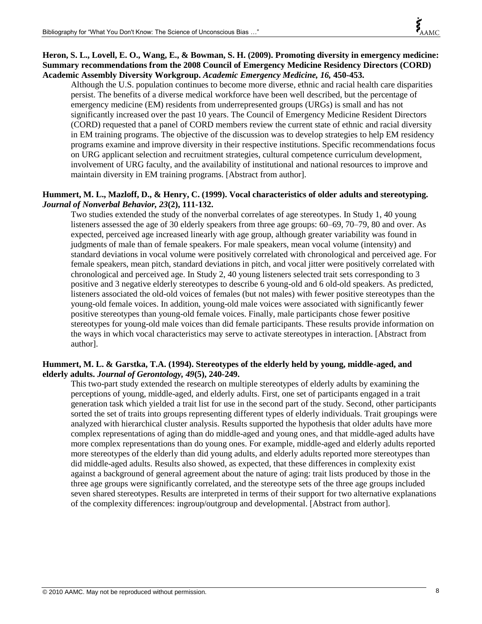## **Heron, S. L., Lovell, E. O., Wang, E., & Bowman, S. H. (2009). Promoting diversity in emergency medicine: Summary recommendations from the 2008 Council of Emergency Medicine Residency Directors (CORD) Academic Assembly Diversity Workgroup.** *Academic Emergency Medicine, 16,* **450-453.**

Although the U.S. population continues to become more diverse, ethnic and racial health care disparities persist. The benefits of a diverse medical workforce have been well described, but the percentage of emergency medicine (EM) residents from underrepresented groups (URGs) is small and has not significantly increased over the past 10 years. The Council of Emergency Medicine Resident Directors (CORD) requested that a panel of CORD members review the current state of ethnic and racial diversity in EM training programs. The objective of the discussion was to develop strategies to help EM residency programs examine and improve diversity in their respective institutions. Specific recommendations focus on URG applicant selection and recruitment strategies, cultural competence curriculum development, involvement of URG faculty, and the availability of institutional and national resources to improve and maintain diversity in EM training programs. [Abstract from author].

## **Hummert, M. L., Mazloff, D., & Henry, C. (1999). Vocal characteristics of older adults and stereotyping.**  *Journal of Nonverbal Behavior, 23***(2), 111-132.**

Two studies extended the study of the nonverbal correlates of age stereotypes. In Study 1, 40 young listeners assessed the age of 30 elderly speakers from three age groups: 60–69, 70–79, 80 and over. As expected, perceived age increased linearly with age group, although greater variability was found in judgments of male than of female speakers. For male speakers, mean vocal volume (intensity) and standard deviations in vocal volume were positively correlated with chronological and perceived age. For female speakers, mean pitch, standard deviations in pitch, and vocal jitter were positively correlated with chronological and perceived age. In Study 2, 40 young listeners selected trait sets corresponding to 3 positive and 3 negative elderly stereotypes to describe 6 young-old and 6 old-old speakers. As predicted, listeners associated the old-old voices of females (but not males) with fewer positive stereotypes than the young-old female voices. In addition, young-old male voices were associated with significantly fewer positive stereotypes than young-old female voices. Finally, male participants chose fewer positive stereotypes for young-old male voices than did female participants. These results provide information on the ways in which vocal characteristics may serve to activate stereotypes in interaction. [Abstract from author].

#### **Hummert, M. L. & Garstka, T.A. (1994). Stereotypes of the elderly held by young, middle-aged, and elderly adults.** *Journal of Gerontology, 49***(5), 240-249.**

This two-part study extended the research on multiple stereotypes of elderly adults by examining the perceptions of young, middle-aged, and elderly adults. First, one set of participants engaged in a trait generation task which yielded a trait list for use in the second part of the study. Second, other participants sorted the set of traits into groups representing different types of elderly individuals. Trait groupings were analyzed with hierarchical cluster analysis. Results supported the hypothesis that older adults have more complex representations of aging than do middle-aged and young ones, and that middle-aged adults have more complex representations than do young ones. For example, middle-aged and elderly adults reported more stereotypes of the elderly than did young adults, and elderly adults reported more stereotypes than did middle-aged adults. Results also showed, as expected, that these differences in complexity exist against a background of general agreement about the nature of aging: trait lists produced by those in the three age groups were significantly correlated, and the stereotype sets of the three age groups included seven shared stereotypes. Results are interpreted in terms of their support for two alternative explanations of the complexity differences: ingroup/outgroup and developmental. [Abstract from author].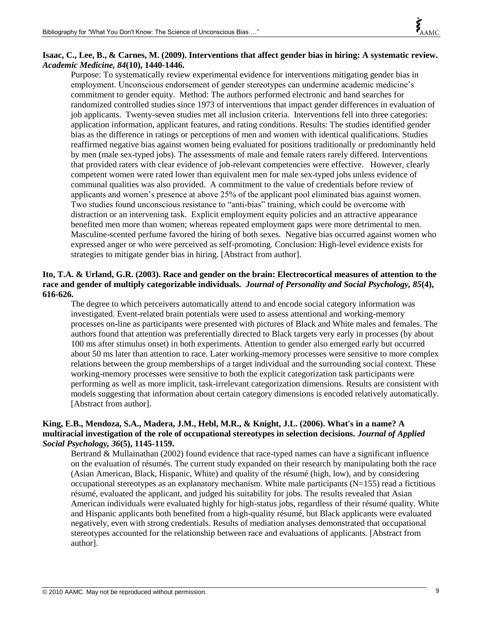# **Isaac, C., Lee, B., & Carnes, M. (2009). Interventions that affect gender bias in hiring: A systematic review.**  *Academic Medicine, 84***(10), 1440-1446.**

Purpose: To systematically review experimental evidence for interventions mitigating gender bias in employment. Unconscious endorsement of gender stereotypes can undermine academic medicine's commitment to gender equity. Method: The authors performed electronic and hand searches for randomized controlled studies since 1973 of interventions that impact gender differences in evaluation of job applicants. Twenty-seven studies met all inclusion criteria. Interventions fell into three categories: application information, applicant features, and rating conditions. Results: The studies identified gender bias as the difference in ratings or perceptions of men and women with identical qualifications. Studies reaffirmed negative bias against women being evaluated for positions traditionally or predominantly held by men (male sex-typed jobs). The assessments of male and female raters rarely differed. Interventions that provided raters with clear evidence of job-relevant competencies were effective. However, clearly competent women were rated lower than equivalent men for male sex-typed jobs unless evidence of communal qualities was also provided. A commitment to the value of credentials before review of applicants and women's presence at above 25% of the applicant pool eliminated bias against women. Two studies found unconscious resistance to "anti-bias" training, which could be overcome with distraction or an intervening task. Explicit employment equity policies and an attractive appearance benefited men more than women; whereas repeated employment gaps were more detrimental to men. Masculine-scented perfume favored the hiring of both sexes. Negative bias occurred against women who expressed anger or who were perceived as self-promoting. Conclusion: High-level evidence exists for strategies to mitigate gender bias in hiring. [Abstract from author].

## **Ito, T.A. & Urland, G.R. (2003). Race and gender on the brain: Electrocortical measures of attention to the race and gender of multiply categorizable individuals.** *Journal of Personality and Social Psychology, 85***(4), 616-626.**

The degree to which perceivers automatically attend to and encode social category information was investigated. Event-related brain potentials were used to assess attentional and working-memory processes on-line as participants were presented with pictures of Black and White males and females. The authors found that attention was preferentially directed to Black targets very early in processes (by about 100 ms after stimulus onset) in both experiments. Attention to gender also emerged early but occurred about 50 ms later than attention to race. Later working-memory processes were sensitive to more complex relations between the group memberships of a target individual and the surrounding social context. These working-memory processes were sensitive to both the explicit categorization task participants were performing as well as more implicit, task-irrelevant categorization dimensions. Results are consistent with models suggesting that information about certain category dimensions is encoded relatively automatically. [Abstract from author].

## **King, E.B., Mendoza, S.A., Madera, J.M., Hebl, M.R., & Knight, J.L. (2006). What's in a name? A multiracial investigation of the role of occupational stereotypes in selection decisions.** *Journal of Applied Social Psychology, 36***(5), 1145-1159.**

Bertrand & Mullainathan (2002) found evidence that race-typed names can have a significant influence on the evaluation of résumés. The current study expanded on their research by manipulating both the race (Asian American, Black, Hispanic, White) and quality of the résumé (high, low), and by considering occupational stereotypes as an explanatory mechanism. White male participants (N=155) read a fictitious résumé, evaluated the applicant, and judged his suitability for jobs. The results revealed that Asian American individuals were evaluated highly for high-status jobs, regardless of their résumé quality. White and Hispanic applicants both benefited from a high-quality résumé, but Black applicants were evaluated negatively, even with strong credentials. Results of mediation analyses demonstrated that occupational stereotypes accounted for the relationship between race and evaluations of applicants. [Abstract from author].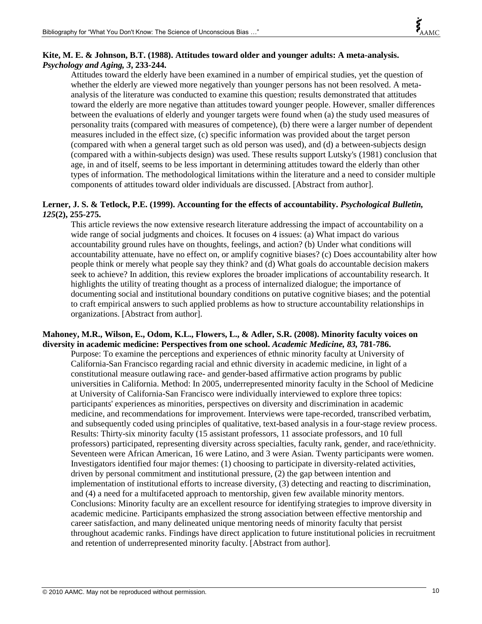# **Kite, M. E. & Johnson, B.T. (1988). Attitudes toward older and younger adults: A meta-analysis.**  *Psychology and Aging, 3***, 233-244.**

Attitudes toward the elderly have been examined in a number of empirical studies, yet the question of whether the elderly are viewed more negatively than younger persons has not been resolved. A metaanalysis of the literature was conducted to examine this question; results demonstrated that attitudes toward the elderly are more negative than attitudes toward younger people. However, smaller differences between the evaluations of elderly and younger targets were found when (a) the study used measures of personality traits (compared with measures of competence), (b) there were a larger number of dependent measures included in the effect size, (c) specific information was provided about the target person (compared with when a general target such as old person was used), and (d) a between-subjects design (compared with a within-subjects design) was used. These results support Lutsky's (1981) conclusion that age, in and of itself, seems to be less important in determining attitudes toward the elderly than other types of information. The methodological limitations within the literature and a need to consider multiple components of attitudes toward older individuals are discussed. [Abstract from author].

### **Lerner, J. S. & Tetlock, P.E. (1999). Accounting for the effects of accountability.** *Psychological Bulletin, 125***(2), 255-275.**

This article reviews the now extensive research literature addressing the impact of accountability on a wide range of social judgments and choices. It focuses on 4 issues: (a) What impact do various accountability ground rules have on thoughts, feelings, and action? (b) Under what conditions will accountability attenuate, have no effect on, or amplify cognitive biases? (c) Does accountability alter how people think or merely what people say they think? and (d) What goals do accountable decision makers seek to achieve? In addition, this review explores the broader implications of accountability research. It highlights the utility of treating thought as a process of internalized dialogue; the importance of documenting social and institutional boundary conditions on putative cognitive biases; and the potential to craft empirical answers to such applied problems as how to structure accountability relationships in organizations. [Abstract from author].

#### **Mahoney, M.R., Wilson, E., Odom, K.L., Flowers, L., & Adler, S.R. (2008). Minority faculty voices on diversity in academic medicine: Perspectives from one school.** *Academic Medicine, 83,* **781-786.**

Purpose: To examine the perceptions and experiences of ethnic minority faculty at University of California-San Francisco regarding racial and ethnic diversity in academic medicine, in light of a constitutional measure outlawing race- and gender-based affirmative action programs by public universities in California. Method: In 2005, underrepresented minority faculty in the School of Medicine at University of California-San Francisco were individually interviewed to explore three topics: participants' experiences as minorities, perspectives on diversity and discrimination in academic medicine, and recommendations for improvement. Interviews were tape-recorded, transcribed verbatim, and subsequently coded using principles of qualitative, text-based analysis in a four-stage review process. Results: Thirty-six minority faculty (15 assistant professors, 11 associate professors, and 10 full professors) participated, representing diversity across specialties, faculty rank, gender, and race/ethnicity. Seventeen were African American, 16 were Latino, and 3 were Asian. Twenty participants were women. Investigators identified four major themes: (1) choosing to participate in diversity-related activities, driven by personal commitment and institutional pressure, (2) the gap between intention and implementation of institutional efforts to increase diversity, (3) detecting and reacting to discrimination, and (4) a need for a multifaceted approach to mentorship, given few available minority mentors. Conclusions: Minority faculty are an excellent resource for identifying strategies to improve diversity in academic medicine. Participants emphasized the strong association between effective mentorship and career satisfaction, and many delineated unique mentoring needs of minority faculty that persist throughout academic ranks. Findings have direct application to future institutional policies in recruitment and retention of underrepresented minority faculty. [Abstract from author].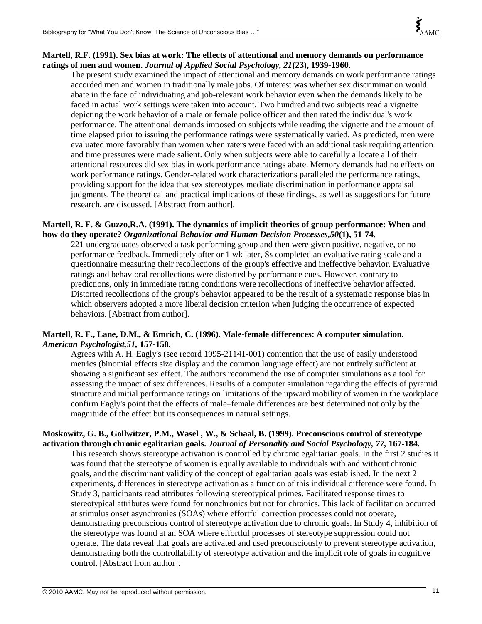## **Martell, R.F. (1991). Sex bias at work: The effects of attentional and memory demands on performance ratings of men and women.** *Journal of Applied Social Psychology, 21***(23), 1939-1960.**

The present study examined the impact of attentional and memory demands on work performance ratings accorded men and women in traditionally male jobs. Of interest was whether sex discrimination would abate in the face of individuating and job-relevant work behavior even when the demands likely to be faced in actual work settings were taken into account. Two hundred and two subjects read a vignette depicting the work behavior of a male or female police officer and then rated the individual's work performance. The attentional demands imposed on subjects while reading the vignette and the amount of time elapsed prior to issuing the performance ratings were systematically varied. As predicted, men were evaluated more favorably than women when raters were faced with an additional task requiring attention and time pressures were made salient. Only when subjects were able to carefully allocate all of their attentional resources did sex bias in work performance ratings abate. Memory demands had no effects on work performance ratings. Gender-related work characterizations paralleled the performance ratings, providing support for the idea that sex stereotypes mediate discrimination in performance appraisal judgments. The theoretical and practical implications of these findings, as well as suggestions for future research, are discussed. [Abstract from author].

#### **Martell, R. F. & Guzzo,R.A. (1991). The dynamics of implicit theories of group performance: When and how do they operate?** *Organizational Behavior and Human Decision Processes,50***(1), 51-74.**

221 undergraduates observed a task performing group and then were given positive, negative, or no performance feedback. Immediately after or 1 wk later, Ss completed an evaluative rating scale and a questionnaire measuring their recollections of the group's effective and ineffective behavior. Evaluative ratings and behavioral recollections were distorted by performance cues. However, contrary to predictions, only in immediate rating conditions were recollections of ineffective behavior affected. Distorted recollections of the group's behavior appeared to be the result of a systematic response bias in which observers adopted a more liberal decision criterion when judging the occurrence of expected behaviors. [Abstract from author].

# **Martell, R. F., Lane, D.M., & Emrich, C. (1996). Male-female differences: A computer simulation.**  *American Psychologist,51,* **157-158.**

Agrees with A. H. Eagly's (see record 1995-21141-001) contention that the use of easily understood metrics (binomial effects size display and the common language effect) are not entirely sufficient at showing a significant sex effect. The authors recommend the use of computer simulations as a tool for assessing the impact of sex differences. Results of a computer simulation regarding the effects of pyramid structure and initial performance ratings on limitations of the upward mobility of women in the workplace confirm Eagly's point that the effects of male–female differences are best determined not only by the magnitude of the effect but its consequences in natural settings.

#### **Moskowitz, G. B., Gollwitzer, P.M., Wasel , W., & Schaal, B. (1999). Preconscious control of stereotype activation through chronic egalitarian goals.** *Journal of Personality and Social Psychology, 77,* **167-184.**

This research shows stereotype activation is controlled by chronic egalitarian goals. In the first 2 studies it was found that the stereotype of women is equally available to individuals with and without chronic goals, and the discriminant validity of the concept of egalitarian goals was established. In the next 2 experiments, differences in stereotype activation as a function of this individual difference were found. In Study 3, participants read attributes following stereotypical primes. Facilitated response times to stereotypical attributes were found for nonchronics but not for chronics. This lack of facilitation occurred at stimulus onset asynchronies (SOAs) where effortful correction processes could not operate, demonstrating preconscious control of stereotype activation due to chronic goals. In Study 4, inhibition of the stereotype was found at an SOA where effortful processes of stereotype suppression could not operate. The data reveal that goals are activated and used preconsciously to prevent stereotype activation, demonstrating both the controllability of stereotype activation and the implicit role of goals in cognitive control. [Abstract from author].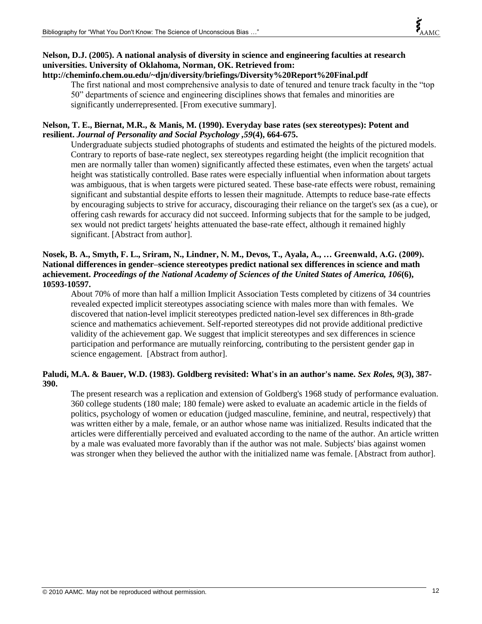# **Nelson, D.J. (2005). A national analysis of diversity in science and engineering faculties at research universities. University of Oklahoma, Norman, OK. Retrieved from:**

#### **http://cheminfo.chem.ou.edu/~djn/diversity/briefings/Diversity%20Report%20Final.pdf**

The first national and most comprehensive analysis to date of tenured and tenure track faculty in the "top" 50‖ departments of science and engineering disciplines shows that females and minorities are significantly underrepresented. [From executive summary].

#### **Nelson, T. E., Biernat, M.R., & Manis, M. (1990). Everyday base rates (sex stereotypes): Potent and resilient.** *Journal of Personality and Social Psychology ,59***(4), 664-675.**

Undergraduate subjects studied photographs of students and estimated the heights of the pictured models. Contrary to reports of base-rate neglect, sex stereotypes regarding height (the implicit recognition that men are normally taller than women) significantly affected these estimates, even when the targets' actual height was statistically controlled. Base rates were especially influential when information about targets was ambiguous, that is when targets were pictured seated. These base-rate effects were robust, remaining significant and substantial despite efforts to lessen their magnitude. Attempts to reduce base-rate effects by encouraging subjects to strive for accuracy, discouraging their reliance on the target's sex (as a cue), or offering cash rewards for accuracy did not succeed. Informing subjects that for the sample to be judged, sex would not predict targets' heights attenuated the base-rate effect, although it remained highly significant. [Abstract from author].

## **Nosek, B. A., Smyth, F. L., Sriram, N., Lindner, N. M., Devos, T., Ayala, A., … Greenwald, A.G. (2009). National differences in gender–science stereotypes predict national sex differences in science and math achievement.** *Proceedings of the National Academy of Sciences of the United States of America, 106***(6), 10593-10597.**

About 70% of more than half a million Implicit Association Tests completed by citizens of 34 countries revealed expected implicit stereotypes associating science with males more than with females. We discovered that nation-level implicit stereotypes predicted nation-level sex differences in 8th-grade science and mathematics achievement. Self-reported stereotypes did not provide additional predictive validity of the achievement gap. We suggest that implicit stereotypes and sex differences in science participation and performance are mutually reinforcing, contributing to the persistent gender gap in science engagement. [Abstract from author].

#### **Paludi, M.A. & Bauer, W.D. (1983). Goldberg revisited: What's in an author's name.** *Sex Roles, 9***(3), 387- 390.**

The present research was a replication and extension of Goldberg's 1968 study of performance evaluation. 360 college students (180 male; 180 female) were asked to evaluate an academic article in the fields of politics, psychology of women or education (judged masculine, feminine, and neutral, respectively) that was written either by a male, female, or an author whose name was initialized. Results indicated that the articles were differentially perceived and evaluated according to the name of the author. An article written by a male was evaluated more favorably than if the author was not male. Subjects' bias against women was stronger when they believed the author with the initialized name was female. [Abstract from author].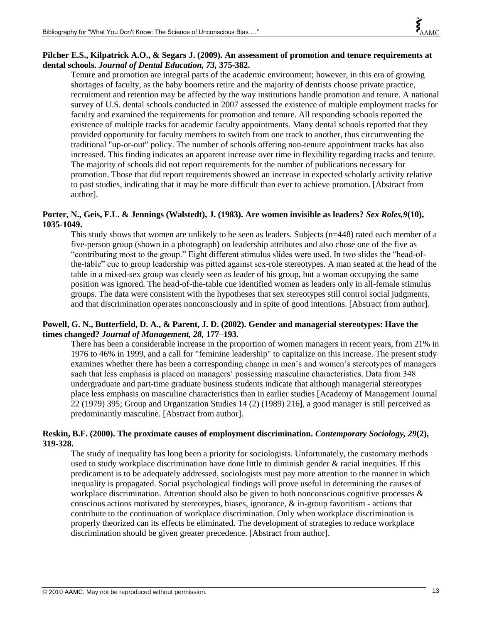# **Pilcher E.S., Kilpatrick A.O., & Segars J. (2009). An assessment of promotion and tenure requirements at dental schools.** *Journal of Dental Education, 73,* **375-382.**

Tenure and promotion are integral parts of the academic environment; however, in this era of growing shortages of faculty, as the baby boomers retire and the majority of dentists choose private practice, recruitment and retention may be affected by the way institutions handle promotion and tenure. A national survey of U.S. dental schools conducted in 2007 assessed the existence of multiple employment tracks for faculty and examined the requirements for promotion and tenure. All responding schools reported the existence of multiple tracks for academic faculty appointments. Many dental schools reported that they provided opportunity for faculty members to switch from one track to another, thus circumventing the traditional "up-or-out" policy. The number of schools offering non-tenure appointment tracks has also increased. This finding indicates an apparent increase over time in flexibility regarding tracks and tenure. The majority of schools did not report requirements for the number of publications necessary for promotion. Those that did report requirements showed an increase in expected scholarly activity relative to past studies, indicating that it may be more difficult than ever to achieve promotion. [Abstract from author].

### **Porter, N., Geis, F.L. & Jennings (Walstedt), J. (1983). Are women invisible as leaders?** *Sex Roles,9***(10), 1035-1049.**

This study shows that women are unlikely to be seen as leaders. Subjects (n=448) rated each member of a five-person group (shown in a photograph) on leadership attributes and also chose one of the five as "contributing most to the group." Eight different stimulus slides were used. In two slides the "head-ofthe-table‖ cue to group leadership was pitted against sex-role stereotypes. A man seated at the head of the table in a mixed-sex group was clearly seen as leader of his group, but a woman occupying the same position was ignored. The head-of-the-table cue identified women as leaders only in all-female stimulus groups. The data were consistent with the hypotheses that sex stereotypes still control social judgments, and that discrimination operates nonconsciously and in spite of good intentions. [Abstract from author].

#### **Powell, G. N., Butterfield, D. A., & Parent, J. D. (2002). Gender and managerial stereotypes: Have the times changed?** *Journal of Management, 28,* **177–193.**

There has been a considerable increase in the proportion of women managers in recent years, from 21% in 1976 to 46% in 1999, and a call for "feminine leadership" to capitalize on this increase. The present study examines whether there has been a corresponding change in men's and women's stereotypes of managers such that less emphasis is placed on managers' possessing masculine characteristics. Data from 348 undergraduate and part-time graduate business students indicate that although managerial stereotypes place less emphasis on masculine characteristics than in earlier studies [Academy of Management Journal 22 (1979) 395; Group and Organization Studies 14 (2) (1989) 216], a good manager is still perceived as predominantly masculine. [Abstract from author].

#### **Reskin, B.F. (2000). The proximate causes of employment discrimination.** *Contemporary Sociology, 29***(2), 319-328.**

The study of inequality has long been a priority for sociologists. Unfortunately, the customary methods used to study workplace discrimination have done little to diminish gender  $\&$  racial inequities. If this predicament is to be adequately addressed, sociologists must pay more attention to the manner in which inequality is propagated. Social psychological findings will prove useful in determining the causes of workplace discrimination. Attention should also be given to both nonconscious cognitive processes  $\&$ conscious actions motivated by stereotypes, biases, ignorance, & in-group favoritism - actions that contribute to the continuation of workplace discrimination. Only when workplace discrimination is properly theorized can its effects be eliminated. The development of strategies to reduce workplace discrimination should be given greater precedence. [Abstract from author].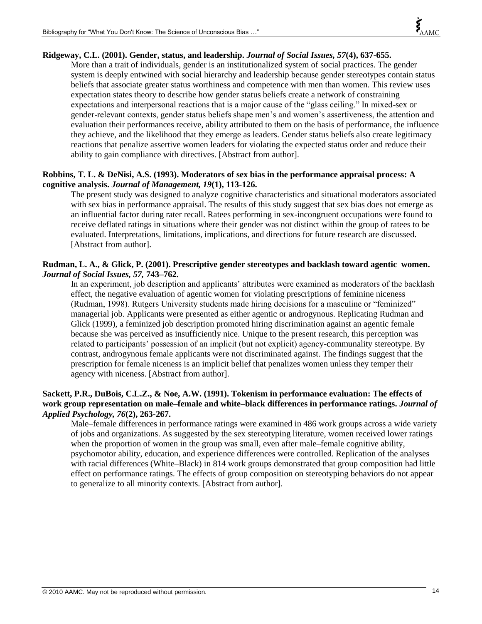#### **Ridgeway, C.L. (2001). Gender, status, and leadership.** *Journal of Social Issues, 57***(4), 637-655.**

More than a trait of individuals, gender is an institutionalized system of social practices. The gender system is deeply entwined with social hierarchy and leadership because gender stereotypes contain status beliefs that associate greater status worthiness and competence with men than women. This review uses expectation states theory to describe how gender status beliefs create a network of constraining expectations and interpersonal reactions that is a major cause of the "glass ceiling." In mixed-sex or gender-relevant contexts, gender status beliefs shape men's and women's assertiveness, the attention and evaluation their performances receive, ability attributed to them on the basis of performance, the influence they achieve, and the likelihood that they emerge as leaders. Gender status beliefs also create legitimacy reactions that penalize assertive women leaders for violating the expected status order and reduce their ability to gain compliance with directives. [Abstract from author].

#### **Robbins, T. L. & DeNisi, A.S. (1993). Moderators of sex bias in the performance appraisal process: A cognitive analysis.** *Journal of Management, 19***(1), 113-126.**

The present study was designed to analyze cognitive characteristics and situational moderators associated with sex bias in performance appraisal. The results of this study suggest that sex bias does not emerge as an influential factor during rater recall. Ratees performing in sex-incongruent occupations were found to receive deflated ratings in situations where their gender was not distinct within the group of ratees to be evaluated. Interpretations, limitations, implications, and directions for future research are discussed. [Abstract from author].

#### **Rudman, L. A., & Glick, P. (2001). Prescriptive gender stereotypes and backlash toward agentic women.**  *Journal of Social Issues, 57,* **743–762.**

In an experiment, job description and applicants' attributes were examined as moderators of the backlash effect, the negative evaluation of agentic women for violating prescriptions of feminine niceness (Rudman, 1998). Rutgers University students made hiring decisions for a masculine or "feminized" managerial job. Applicants were presented as either agentic or androgynous. Replicating Rudman and Glick (1999), a feminized job description promoted hiring discrimination against an agentic female because she was perceived as insufficiently nice. Unique to the present research, this perception was related to participants' possession of an implicit (but not explicit) agency-communality stereotype. By contrast, androgynous female applicants were not discriminated against. The findings suggest that the prescription for female niceness is an implicit belief that penalizes women unless they temper their agency with niceness. [Abstract from author].

#### **Sackett, P.R., DuBois, C.L.Z., & Noe, A.W. (1991). Tokenism in performance evaluation: The effects of work group representation on male–female and white–black differences in performance ratings.** *Journal of Applied Psychology, 76***(2), 263-267.**

Male–female differences in performance ratings were examined in 486 work groups across a wide variety of jobs and organizations. As suggested by the sex stereotyping literature, women received lower ratings when the proportion of women in the group was small, even after male–female cognitive ability, psychomotor ability, education, and experience differences were controlled. Replication of the analyses with racial differences (White–Black) in 814 work groups demonstrated that group composition had little effect on performance ratings. The effects of group composition on stereotyping behaviors do not appear to generalize to all minority contexts. [Abstract from author].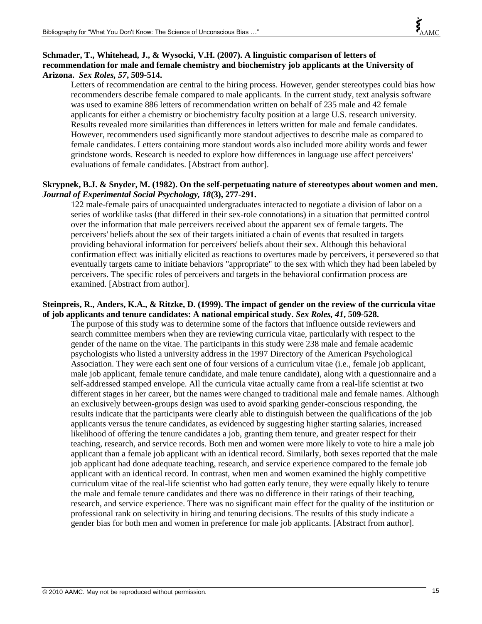# **Schmader, T., Whitehead, J., & Wysocki, V.H. (2007). A linguistic comparison of letters of recommendation for male and female chemistry and biochemistry job applicants at the University of Arizona.** *Sex Roles, 57***, 509-514.**

Letters of recommendation are central to the hiring process. However, gender stereotypes could bias how recommenders describe female compared to male applicants. In the current study, text analysis software was used to examine 886 letters of recommendation written on behalf of 235 male and 42 female applicants for either a chemistry or biochemistry faculty position at a large U.S. research university. Results revealed more similarities than differences in letters written for male and female candidates. However, recommenders used significantly more standout adjectives to describe male as compared to female candidates. Letters containing more standout words also included more ability words and fewer grindstone words. Research is needed to explore how differences in language use affect perceivers' evaluations of female candidates. [Abstract from author].

### **Skrypnek, B.J. & Snyder, M. (1982). On the self-perpetuating nature of stereotypes about women and men.**  *Journal of Experimental Social Psychology, 18***(3), 277-291.**

122 male-female pairs of unacquainted undergraduates interacted to negotiate a division of labor on a series of worklike tasks (that differed in their sex-role connotations) in a situation that permitted control over the information that male perceivers received about the apparent sex of female targets. The perceivers' beliefs about the sex of their targets initiated a chain of events that resulted in targets providing behavioral information for perceivers' beliefs about their sex. Although this behavioral confirmation effect was initially elicited as reactions to overtures made by perceivers, it persevered so that eventually targets came to initiate behaviors "appropriate" to the sex with which they had been labeled by perceivers. The specific roles of perceivers and targets in the behavioral confirmation process are examined. [Abstract from author].

#### **Steinpreis, R., Anders, K.A., & Ritzke, D. (1999). The impact of gender on the review of the curricula vitae of job applicants and tenure candidates: A national empirical study.** *Sex Roles, 41***, 509-528.**

The purpose of this study was to determine some of the factors that influence outside reviewers and search committee members when they are reviewing curricula vitae, particularly with respect to the gender of the name on the vitae. The participants in this study were 238 male and female academic psychologists who listed a university address in the 1997 Directory of the American Psychological Association. They were each sent one of four versions of a curriculum vitae (i.e., female job applicant, male job applicant, female tenure candidate, and male tenure candidate), along with a questionnaire and a self-addressed stamped envelope. All the curricula vitae actually came from a real-life scientist at two different stages in her career, but the names were changed to traditional male and female names. Although an exclusively between-groups design was used to avoid sparking gender-conscious responding, the results indicate that the participants were clearly able to distinguish between the qualifications of the job applicants versus the tenure candidates, as evidenced by suggesting higher starting salaries, increased likelihood of offering the tenure candidates a job, granting them tenure, and greater respect for their teaching, research, and service records. Both men and women were more likely to vote to hire a male job applicant than a female job applicant with an identical record. Similarly, both sexes reported that the male job applicant had done adequate teaching, research, and service experience compared to the female job applicant with an identical record. In contrast, when men and women examined the highly competitive curriculum vitae of the real-life scientist who had gotten early tenure, they were equally likely to tenure the male and female tenure candidates and there was no difference in their ratings of their teaching, research, and service experience. There was no significant main effect for the quality of the institution or professional rank on selectivity in hiring and tenuring decisions. The results of this study indicate a gender bias for both men and women in preference for male job applicants. [Abstract from author].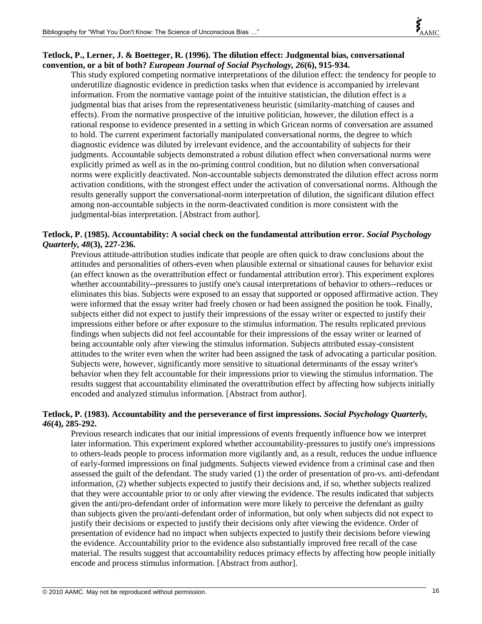# **Tetlock, P., Lerner, J. & Boetteger, R. (1996). The dilution effect: Judgmental bias, conversational convention, or a bit of both?** *European Journal of Social Psychology, 26***(6), 915-934.**

This study explored competing normative interpretations of the dilution effect: the tendency for people to underutilize diagnostic evidence in prediction tasks when that evidence is accompanied by irrelevant information. From the normative vantage point of the intuitive statistician, the dilution effect is a judgmental bias that arises from the representativeness heuristic (similarity-matching of causes and effects). From the normative prospective of the intuitive politician, however, the dilution effect is a rational response to evidence presented in a setting in which Gricean norms of conversation are assumed to hold. The current experiment factorially manipulated conversational norms, the degree to which diagnostic evidence was diluted by irrelevant evidence, and the accountability of subjects for their judgments. Accountable subjects demonstrated a robust dilution effect when conversational norms were explicitly primed as well as in the no-priming control condition, but no dilution when conversational norms were explicitly deactivated. Non-accountable subjects demonstrated the dilution effect across norm activation conditions, with the strongest effect under the activation of conversational norms. Although the results generally support the conversational-norm interpretation of dilution, the significant dilution effect among non-accountable subjects in the norm-deactivated condition is more consistent with the judgmental-bias interpretation. [Abstract from author].

#### **Tetlock, P. (1985). Accountability: A social check on the fundamental attribution error.** *Social Psychology Quarterly, 48***(3), 227-236.**

Previous attitude-attribution studies indicate that people are often quick to draw conclusions about the attitudes and personalities of others-even when plausible external or situational causes for behavior exist (an effect known as the overattribution effect or fundamental attribution error). This experiment explores whether accountability--pressures to justify one's causal interpretations of behavior to others--reduces or eliminates this bias. Subjects were exposed to an essay that supported or opposed affirmative action. They were informed that the essay writer had freely chosen or had been assigned the position he took. Finally, subjects either did not expect to justify their impressions of the essay writer or expected to justify their impressions either before or after exposure to the stimulus information. The results replicated previous findings when subjects did not feel accountable for their impressions of the essay writer or learned of being accountable only after viewing the stimulus information. Subjects attributed essay-consistent attitudes to the writer even when the writer had been assigned the task of advocating a particular position. Subjects were, however, significantly more sensitive to situational determinants of the essay writer's behavior when they felt accountable for their impressions prior to viewing the stimulus information. The results suggest that accountability eliminated the overattribution effect by affecting how subjects initially encoded and analyzed stimulus information. [Abstract from author].

# **Tetlock, P. (1983). Accountability and the perseverance of first impressions.** *Social Psychology Quarterly, 46***(4), 285-292.**

Previous research indicates that our initial impressions of events frequently influence how we interpret later information. This experiment explored whether accountability-pressures to justify one's impressions to others-leads people to process information more vigilantly and, as a result, reduces the undue influence of early-formed impressions on final judgments. Subjects viewed evidence from a criminal case and then assessed the guilt of the defendant. The study varied (1) the order of presentation of pro-vs. anti-defendant information, (2) whether subjects expected to justify their decisions and, if so, whether subjects realized that they were accountable prior to or only after viewing the evidence. The results indicated that subjects given the anti/pro-defendant order of information were more likely to perceive the defendant as guilty than subjects given the pro/anti-defendant order of information, but only when subjects did not expect to justify their decisions or expected to justify their decisions only after viewing the evidence. Order of presentation of evidence had no impact when subjects expected to justify their decisions before viewing the evidence. Accountability prior to the evidence also substantially improved free recall of the case material. The results suggest that accountability reduces primacy effects by affecting how people initially encode and process stimulus information. [Abstract from author].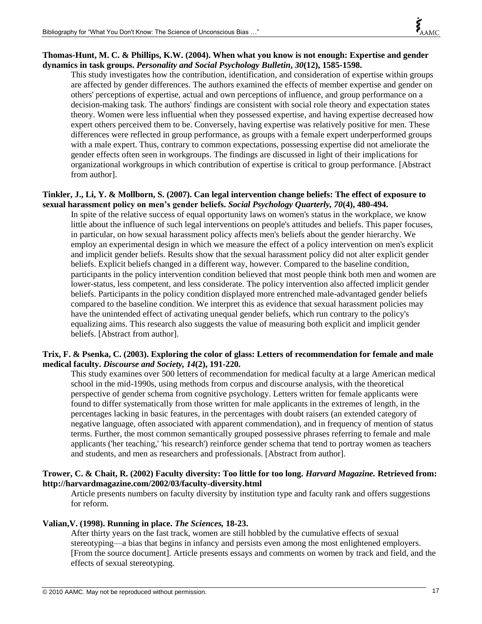## **Thomas-Hunt, M. C. & Phillips, K.W. (2004). When what you know is not enough: Expertise and gender dynamics in task groups.** *Personality and Social Psychology Bulletin***,** *30***(12), 1585-1598.**

This study investigates how the contribution, identification, and consideration of expertise within groups are affected by gender differences. The authors examined the effects of member expertise and gender on others' perceptions of expertise, actual and own perceptions of influence, and group performance on a decision-making task. The authors' findings are consistent with social role theory and expectation states theory. Women were less influential when they possessed expertise, and having expertise decreased how expert others perceived them to be. Conversely, having expertise was relatively positive for men. These differences were reflected in group performance, as groups with a female expert underperformed groups with a male expert. Thus, contrary to common expectations, possessing expertise did not ameliorate the gender effects often seen in workgroups. The findings are discussed in light of their implications for organizational workgroups in which contribution of expertise is critical to group performance. [Abstract from author].

#### **Tinkler, J., Li, Y. & Mollborn, S. (2007). Can legal intervention change beliefs: The effect of exposure to sexual harassment policy on men's gender beliefs.** *Social Psychology Quarterly, 70***(4), 480-494.**

In spite of the relative success of equal opportunity laws on women's status in the workplace, we know little about the influence of such legal interventions on people's attitudes and beliefs. This paper focuses, in particular, on how sexual harassment policy affects men's beliefs about the gender hierarchy. We employ an experimental design in which we measure the effect of a policy intervention on men's explicit and implicit gender beliefs. Results show that the sexual harassment policy did not alter explicit gender beliefs. Explicit beliefs changed in a different way, however. Compared to the baseline condition, participants in the policy intervention condition believed that most people think both men and women are lower-status, less competent, and less considerate. The policy intervention also affected implicit gender beliefs. Participants in the policy condition displayed more entrenched male-advantaged gender beliefs compared to the baseline condition. We interpret this as evidence that sexual harassment policies may have the unintended effect of activating unequal gender beliefs, which run contrary to the policy's equalizing aims. This research also suggests the value of measuring both explicit and implicit gender beliefs. [Abstract from author].

## **Trix, F. & Psenka, C. (2003). Exploring the color of glass: Letters of recommendation for female and male medical faculty.** *Discourse and Society, 14***(2), 191-220.**

This study examines over 500 letters of recommendation for medical faculty at a large American medical school in the mid-1990s, using methods from corpus and discourse analysis, with the theoretical perspective of gender schema from cognitive psychology. Letters written for female applicants were found to differ systematically from those written for male applicants in the extremes of length, in the percentages lacking in basic features, in the percentages with doubt raisers (an extended category of negative language, often associated with apparent commendation), and in frequency of mention of status terms. Further, the most common semantically grouped possessive phrases referring to female and male applicants ('her teaching,' 'his research') reinforce gender schema that tend to portray women as teachers and students, and men as researchers and professionals. [Abstract from author].

#### **Trower, C. & Chait, R. (2002) Faculty diversity: Too little for too long.** *Harvard Magazine.* **Retrieved from: http://harvardmagazine.com/2002/03/faculty-diversity.html**

Article presents numbers on faculty diversity by institution type and faculty rank and offers suggestions for reform.

#### **Valian,V. (1998). Running in place.** *The Sciences,* **18-23.**

After thirty years on the fast track, women are still hobbled by the cumulative effects of sexual stereotyping—a bias that begins in infancy and persists even among the most enlightened employers. [From the source document]. Article presents essays and comments on women by track and field, and the effects of sexual stereotyping.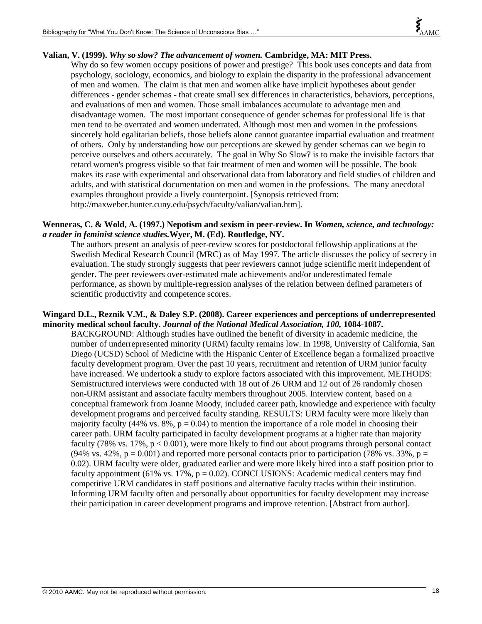#### **Valian, V. (1999).** *Why so slow? The advancement of women.* **Cambridge, MA: MIT Press.**

Why do so few women occupy positions of power and prestige? This book uses concepts and data from psychology, sociology, economics, and biology to explain the disparity in the professional advancement of men and women. The claim is that men and women alike have implicit hypotheses about gender differences - gender schemas - that create small sex differences in characteristics, behaviors, perceptions, and evaluations of men and women. Those small imbalances accumulate to advantage men and disadvantage women. The most important consequence of gender schemas for professional life is that men tend to be overrated and women underrated. Although most men and women in the professions sincerely hold egalitarian beliefs, those beliefs alone cannot guarantee impartial evaluation and treatment of others. Only by understanding how our perceptions are skewed by gender schemas can we begin to perceive ourselves and others accurately. The goal in Why So Slow? is to make the invisible factors that retard women's progress visible so that fair treatment of men and women will be possible. The book makes its case with experimental and observational data from laboratory and field studies of children and adults, and with statistical documentation on men and women in the professions. The many anecdotal examples throughout provide a lively counterpoint. [Synopsis retrieved from: http://maxweber.hunter.cuny.edu/psych/faculty/valian/valian.htm].

#### **Wenneras, C. & Wold, A. (1997.) Nepotism and sexism in peer-review. In** *Women, science, and technology: a reader in feminist science studies.***Wyer, M. (Ed). Routledge, NY.**

The authors present an analysis of peer-review scores for postdoctoral fellowship applications at the Swedish Medical Research Council (MRC) as of May 1997. The article discusses the policy of secrecy in evaluation. The study strongly suggests that peer reviewers cannot judge scientific merit independent of gender. The peer reviewers over-estimated male achievements and/or underestimated female performance, as shown by multiple-regression analyses of the relation between defined parameters of scientific productivity and competence scores.

#### **Wingard D.L., Reznik V.M., & Daley S.P. (2008). Career experiences and perceptions of underrepresented minority medical school faculty.** *Journal of the National Medical Association, 100,* **1084-1087.**

BACKGROUND: Although studies have outlined the benefit of diversity in academic medicine, the number of underrepresented minority (URM) faculty remains low. In 1998, University of California, San Diego (UCSD) School of Medicine with the Hispanic Center of Excellence began a formalized proactive faculty development program. Over the past 10 years, recruitment and retention of URM junior faculty have increased. We undertook a study to explore factors associated with this improvement. METHODS: Semistructured interviews were conducted with 18 out of 26 URM and 12 out of 26 randomly chosen non-URM assistant and associate faculty members throughout 2005. Interview content, based on a conceptual framework from Joanne Moody, included career path, knowledge and experience with faculty development programs and perceived faculty standing. RESULTS: URM faculty were more likely than majority faculty (44% vs.  $8\%$ , p = 0.04) to mention the importance of a role model in choosing their career path. URM faculty participated in faculty development programs at a higher rate than majority faculty (78% vs. 17%, p < 0.001), were more likely to find out about programs through personal contact (94% vs. 42%,  $p = 0.001$ ) and reported more personal contacts prior to participation (78% vs. 33%,  $p =$ 0.02). URM faculty were older, graduated earlier and were more likely hired into a staff position prior to faculty appointment (61% vs. 17%,  $p = 0.02$ ). CONCLUSIONS: Academic medical centers may find competitive URM candidates in staff positions and alternative faculty tracks within their institution. Informing URM faculty often and personally about opportunities for faculty development may increase their participation in career development programs and improve retention. [Abstract from author].